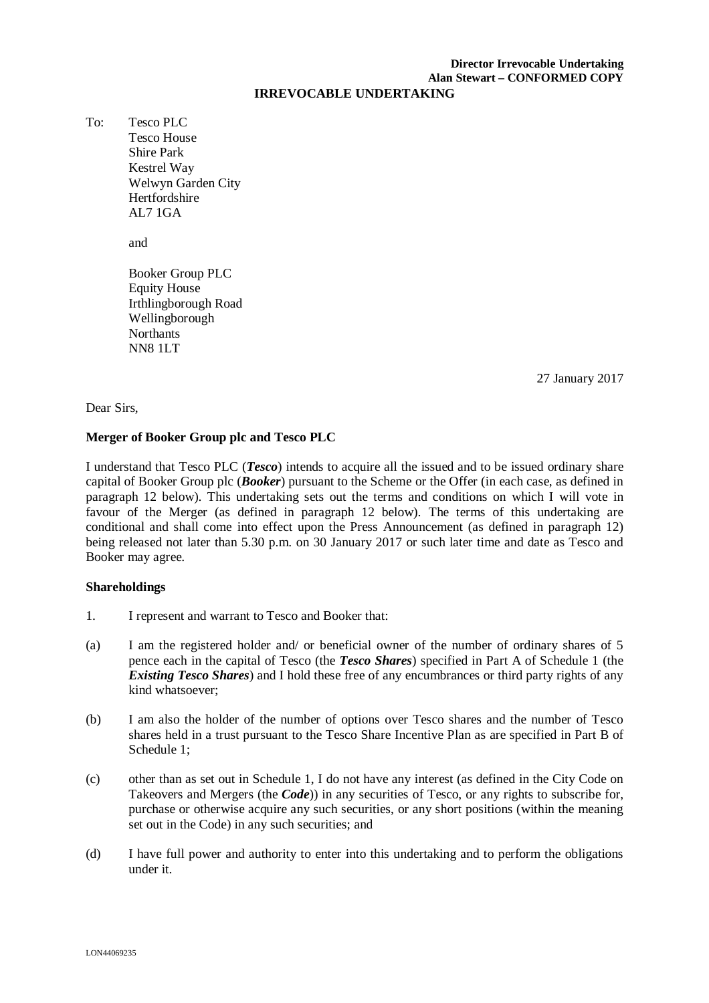# **Director Irrevocable Undertaking Alan Stewart – CONFORMED COPY**

#### **IRREVOCABLE UNDERTAKING**

To: Tesco PLC Tesco House Shire Park Kestrel Way Welwyn Garden City **Hertfordshire** AL7 1GA

and

Booker Group PLC Equity House Irthlingborough Road Wellingborough Northants NN8 1LT

27 January 2017

#### Dear Sirs,

#### **Merger of Booker Group plc and Tesco PLC**

I understand that Tesco PLC (*Tesco*) intends to acquire all the issued and to be issued ordinary share capital of Booker Group plc (*Booker*) pursuant to the Scheme or the Offer (in each case, as defined in paragraph 12 below). This undertaking sets out the terms and conditions on which I will vote in favour of the Merger (as defined in paragraph 12 below). The terms of this undertaking are conditional and shall come into effect upon the Press Announcement (as defined in paragraph 12) being released not later than 5.30 p.m. on 30 January 2017 or such later time and date as Tesco and Booker may agree.

#### **Shareholdings**

- 1. I represent and warrant to Tesco and Booker that:
- (a) I am the registered holder and/ or beneficial owner of the number of ordinary shares of 5 pence each in the capital of Tesco (the *Tesco Shares*) specified in Part A of Schedule 1 (the *Existing Tesco Shares*) and I hold these free of any encumbrances or third party rights of any kind whatsoever;
- (b) I am also the holder of the number of options over Tesco shares and the number of Tesco shares held in a trust pursuant to the Tesco Share Incentive Plan as are specified in Part B of Schedule 1;
- (c) other than as set out in Schedule 1, I do not have any interest (as defined in the City Code on Takeovers and Mergers (the *Code*)) in any securities of Tesco, or any rights to subscribe for, purchase or otherwise acquire any such securities, or any short positions (within the meaning set out in the Code) in any such securities; and
- (d) I have full power and authority to enter into this undertaking and to perform the obligations under it.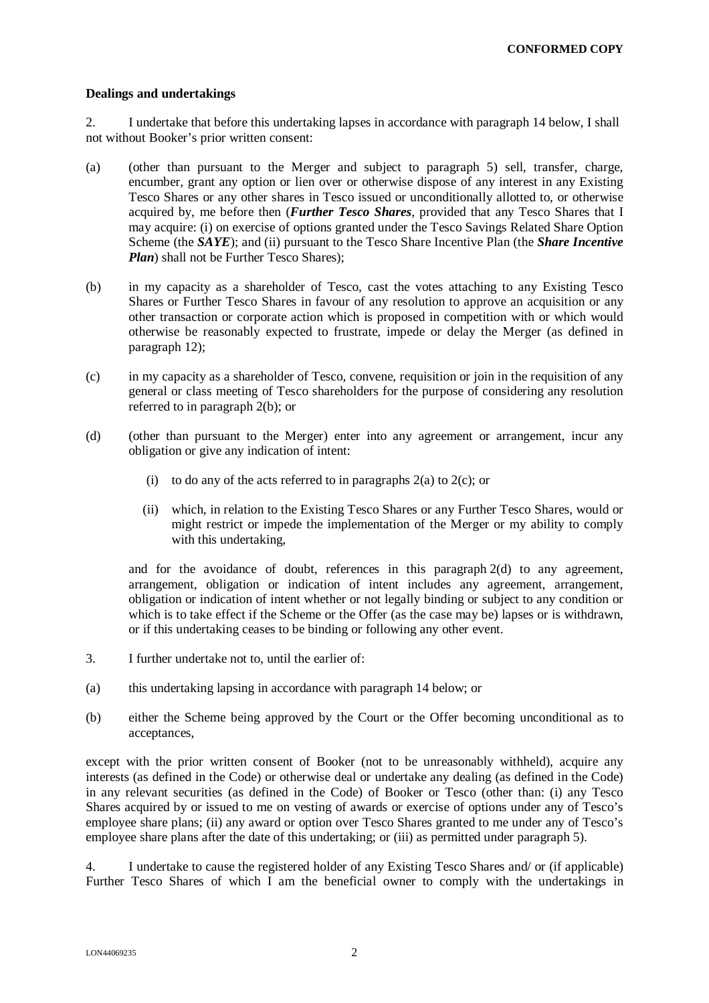#### **Dealings and undertakings**

2. I undertake that before this undertaking lapses in accordance with paragraph 14 below, I shall not without Booker's prior written consent:

- (a) (other than pursuant to the Merger and subject to paragraph 5) sell, transfer, charge, encumber, grant any option or lien over or otherwise dispose of any interest in any Existing Tesco Shares or any other shares in Tesco issued or unconditionally allotted to, or otherwise acquired by, me before then (*Further Tesco Shares*, provided that any Tesco Shares that I may acquire: (i) on exercise of options granted under the Tesco Savings Related Share Option Scheme (the *SAYE*); and (ii) pursuant to the Tesco Share Incentive Plan (the *Share Incentive Plan*) shall not be Further Tesco Shares):
- (b) in my capacity as a shareholder of Tesco, cast the votes attaching to any Existing Tesco Shares or Further Tesco Shares in favour of any resolution to approve an acquisition or any other transaction or corporate action which is proposed in competition with or which would otherwise be reasonably expected to frustrate, impede or delay the Merger (as defined in paragraph 12);
- (c) in my capacity as a shareholder of Tesco, convene, requisition or join in the requisition of any general or class meeting of Tesco shareholders for the purpose of considering any resolution referred to in paragraph 2(b); or
- (d) (other than pursuant to the Merger) enter into any agreement or arrangement, incur any obligation or give any indication of intent:
	- (i) to do any of the acts referred to in paragraphs  $2(a)$  to  $2(c)$ ; or
	- (ii) which, in relation to the Existing Tesco Shares or any Further Tesco Shares, would or might restrict or impede the implementation of the Merger or my ability to comply with this undertaking,

and for the avoidance of doubt, references in this paragraph 2(d) to any agreement, arrangement, obligation or indication of intent includes any agreement, arrangement, obligation or indication of intent whether or not legally binding or subject to any condition or which is to take effect if the Scheme or the Offer (as the case may be) lapses or is withdrawn, or if this undertaking ceases to be binding or following any other event.

- 3. I further undertake not to, until the earlier of:
- (a) this undertaking lapsing in accordance with paragraph 14 below; or
- (b) either the Scheme being approved by the Court or the Offer becoming unconditional as to acceptances,

except with the prior written consent of Booker (not to be unreasonably withheld), acquire any interests (as defined in the Code) or otherwise deal or undertake any dealing (as defined in the Code) in any relevant securities (as defined in the Code) of Booker or Tesco (other than: (i) any Tesco Shares acquired by or issued to me on vesting of awards or exercise of options under any of Tesco's employee share plans; (ii) any award or option over Tesco Shares granted to me under any of Tesco's employee share plans after the date of this undertaking; or (iii) as permitted under paragraph 5).

4. I undertake to cause the registered holder of any Existing Tesco Shares and/ or (if applicable) Further Tesco Shares of which I am the beneficial owner to comply with the undertakings in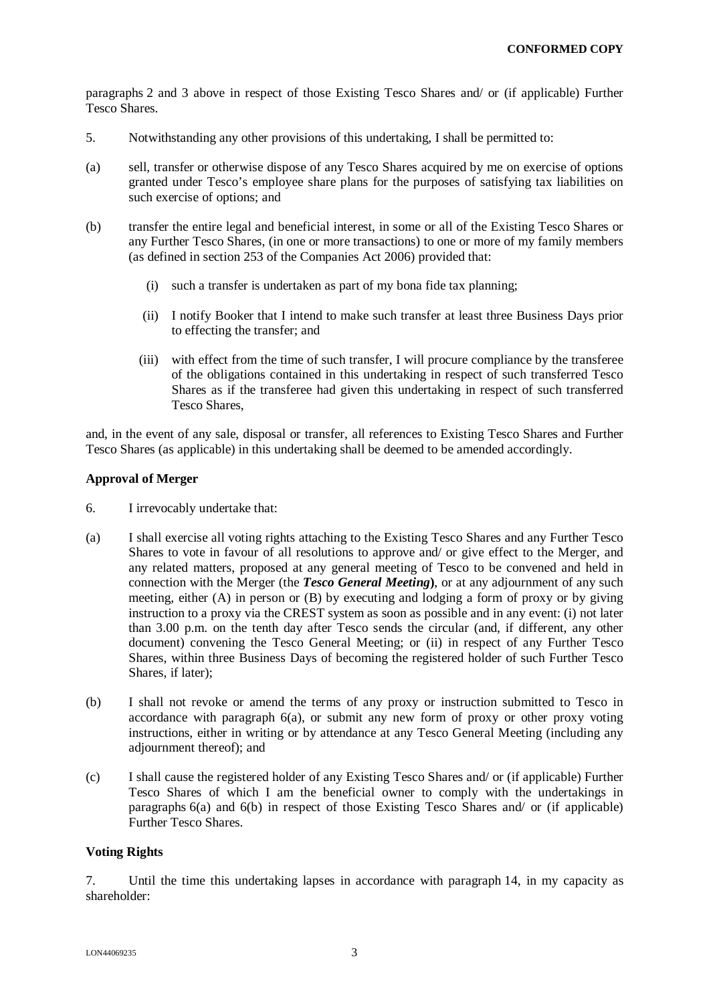paragraphs 2 and 3 above in respect of those Existing Tesco Shares and/ or (if applicable) Further Tesco Shares.

- 5. Notwithstanding any other provisions of this undertaking, I shall be permitted to:
- (a) sell, transfer or otherwise dispose of any Tesco Shares acquired by me on exercise of options granted under Tesco's employee share plans for the purposes of satisfying tax liabilities on such exercise of options; and
- (b) transfer the entire legal and beneficial interest, in some or all of the Existing Tesco Shares or any Further Tesco Shares, (in one or more transactions) to one or more of my family members (as defined in section 253 of the Companies Act 2006) provided that:
	- (i) such a transfer is undertaken as part of my bona fide tax planning;
	- (ii) I notify Booker that I intend to make such transfer at least three Business Days prior to effecting the transfer; and
	- (iii) with effect from the time of such transfer, I will procure compliance by the transferee of the obligations contained in this undertaking in respect of such transferred Tesco Shares as if the transferee had given this undertaking in respect of such transferred Tesco Shares,

and, in the event of any sale, disposal or transfer, all references to Existing Tesco Shares and Further Tesco Shares (as applicable) in this undertaking shall be deemed to be amended accordingly.

## **Approval of Merger**

- 6. I irrevocably undertake that:
- (a) I shall exercise all voting rights attaching to the Existing Tesco Shares and any Further Tesco Shares to vote in favour of all resolutions to approve and/ or give effect to the Merger, and any related matters, proposed at any general meeting of Tesco to be convened and held in connection with the Merger (the *Tesco General Meeting***)**, or at any adjournment of any such meeting, either (A) in person or (B) by executing and lodging a form of proxy or by giving instruction to a proxy via the CREST system as soon as possible and in any event: (i) not later than 3.00 p.m. on the tenth day after Tesco sends the circular (and, if different, any other document) convening the Tesco General Meeting; or (ii) in respect of any Further Tesco Shares, within three Business Days of becoming the registered holder of such Further Tesco Shares, if later);
- (b) I shall not revoke or amend the terms of any proxy or instruction submitted to Tesco in accordance with paragraph 6(a), or submit any new form of proxy or other proxy voting instructions, either in writing or by attendance at any Tesco General Meeting (including any adjournment thereof); and
- (c) I shall cause the registered holder of any Existing Tesco Shares and/ or (if applicable) Further Tesco Shares of which I am the beneficial owner to comply with the undertakings in paragraphs 6(a) and 6(b) in respect of those Existing Tesco Shares and/ or (if applicable) Further Tesco Shares.

## **Voting Rights**

7. Until the time this undertaking lapses in accordance with paragraph 14, in my capacity as shareholder: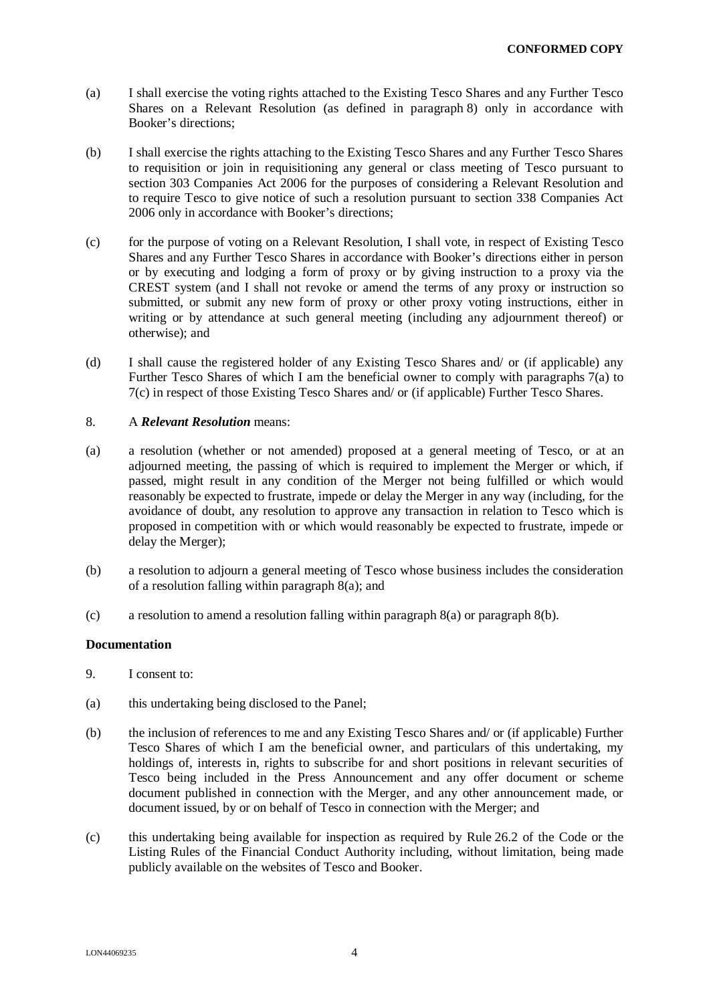- (a) I shall exercise the voting rights attached to the Existing Tesco Shares and any Further Tesco Shares on a Relevant Resolution (as defined in paragraph 8) only in accordance with Booker's directions;
- (b) I shall exercise the rights attaching to the Existing Tesco Shares and any Further Tesco Shares to requisition or join in requisitioning any general or class meeting of Tesco pursuant to section 303 Companies Act 2006 for the purposes of considering a Relevant Resolution and to require Tesco to give notice of such a resolution pursuant to section 338 Companies Act 2006 only in accordance with Booker's directions;
- (c) for the purpose of voting on a Relevant Resolution, I shall vote, in respect of Existing Tesco Shares and any Further Tesco Shares in accordance with Booker's directions either in person or by executing and lodging a form of proxy or by giving instruction to a proxy via the CREST system (and I shall not revoke or amend the terms of any proxy or instruction so submitted, or submit any new form of proxy or other proxy voting instructions, either in writing or by attendance at such general meeting (including any adjournment thereof) or otherwise); and
- (d) I shall cause the registered holder of any Existing Tesco Shares and/ or (if applicable) any Further Tesco Shares of which I am the beneficial owner to comply with paragraphs 7(a) to 7(c) in respect of those Existing Tesco Shares and/ or (if applicable) Further Tesco Shares.

#### 8. A *Relevant Resolution* means:

- (a) a resolution (whether or not amended) proposed at a general meeting of Tesco, or at an adjourned meeting, the passing of which is required to implement the Merger or which, if passed, might result in any condition of the Merger not being fulfilled or which would reasonably be expected to frustrate, impede or delay the Merger in any way (including, for the avoidance of doubt, any resolution to approve any transaction in relation to Tesco which is proposed in competition with or which would reasonably be expected to frustrate, impede or delay the Merger);
- (b) a resolution to adjourn a general meeting of Tesco whose business includes the consideration of a resolution falling within paragraph 8(a); and
- (c) a resolution to amend a resolution falling within paragraph 8(a) or paragraph 8(b).

#### **Documentation**

- 9. I consent to:
- (a) this undertaking being disclosed to the Panel;
- (b) the inclusion of references to me and any Existing Tesco Shares and/ or (if applicable) Further Tesco Shares of which I am the beneficial owner, and particulars of this undertaking, my holdings of, interests in, rights to subscribe for and short positions in relevant securities of Tesco being included in the Press Announcement and any offer document or scheme document published in connection with the Merger, and any other announcement made, or document issued, by or on behalf of Tesco in connection with the Merger; and
- (c) this undertaking being available for inspection as required by Rule 26.2 of the Code or the Listing Rules of the Financial Conduct Authority including, without limitation, being made publicly available on the websites of Tesco and Booker.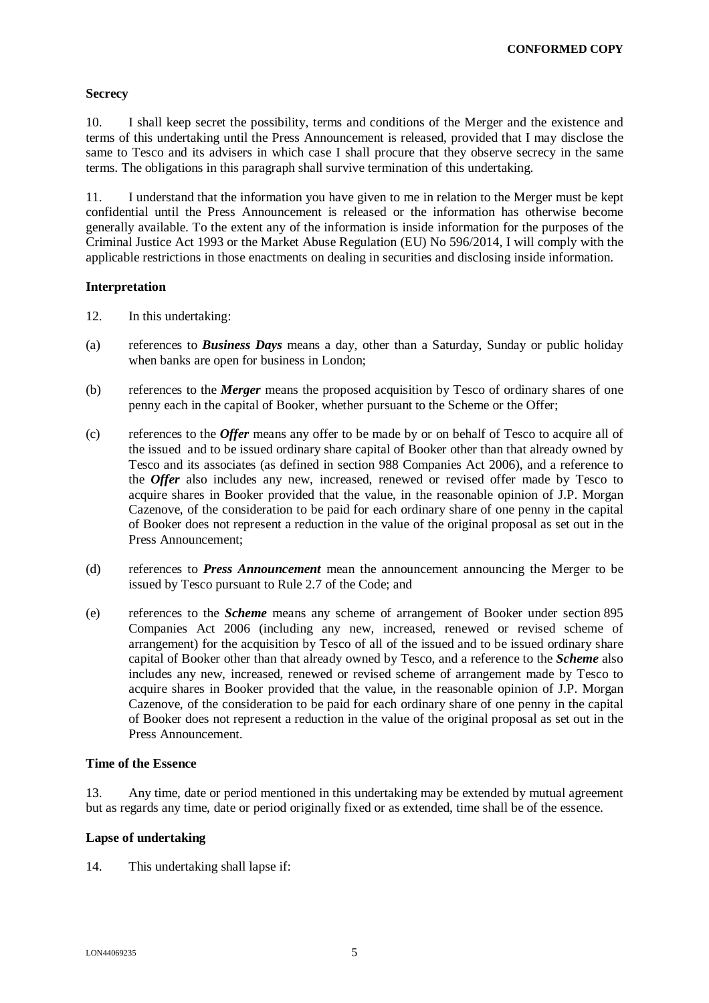#### **Secrecy**

10. I shall keep secret the possibility, terms and conditions of the Merger and the existence and terms of this undertaking until the Press Announcement is released, provided that I may disclose the same to Tesco and its advisers in which case I shall procure that they observe secrecy in the same terms. The obligations in this paragraph shall survive termination of this undertaking.

11. I understand that the information you have given to me in relation to the Merger must be kept confidential until the Press Announcement is released or the information has otherwise become generally available. To the extent any of the information is inside information for the purposes of the Criminal Justice Act 1993 or the Market Abuse Regulation (EU) No 596/2014, I will comply with the applicable restrictions in those enactments on dealing in securities and disclosing inside information.

#### **Interpretation**

- 12. In this undertaking:
- (a) references to *Business Days* means a day, other than a Saturday, Sunday or public holiday when banks are open for business in London;
- (b) references to the *Merger* means the proposed acquisition by Tesco of ordinary shares of one penny each in the capital of Booker, whether pursuant to the Scheme or the Offer;
- (c) references to the *Offer* means any offer to be made by or on behalf of Tesco to acquire all of the issued and to be issued ordinary share capital of Booker other than that already owned by Tesco and its associates (as defined in section 988 Companies Act 2006), and a reference to the *Offer* also includes any new, increased, renewed or revised offer made by Tesco to acquire shares in Booker provided that the value, in the reasonable opinion of J.P. Morgan Cazenove, of the consideration to be paid for each ordinary share of one penny in the capital of Booker does not represent a reduction in the value of the original proposal as set out in the Press Announcement;
- (d) references to *Press Announcement* mean the announcement announcing the Merger to be issued by Tesco pursuant to Rule 2.7 of the Code; and
- (e) references to the *Scheme* means any scheme of arrangement of Booker under section 895 Companies Act 2006 (including any new, increased, renewed or revised scheme of arrangement) for the acquisition by Tesco of all of the issued and to be issued ordinary share capital of Booker other than that already owned by Tesco, and a reference to the *Scheme* also includes any new, increased, renewed or revised scheme of arrangement made by Tesco to acquire shares in Booker provided that the value, in the reasonable opinion of J.P. Morgan Cazenove, of the consideration to be paid for each ordinary share of one penny in the capital of Booker does not represent a reduction in the value of the original proposal as set out in the Press Announcement.

#### **Time of the Essence**

13. Any time, date or period mentioned in this undertaking may be extended by mutual agreement but as regards any time, date or period originally fixed or as extended, time shall be of the essence.

#### **Lapse of undertaking**

14. This undertaking shall lapse if: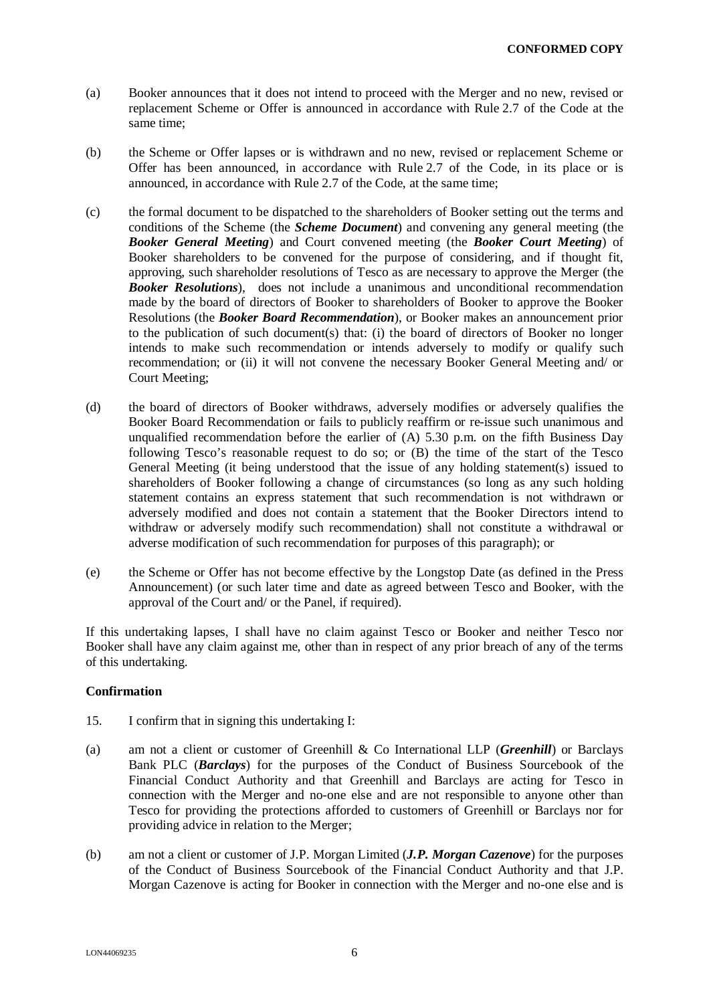- (a) Booker announces that it does not intend to proceed with the Merger and no new, revised or replacement Scheme or Offer is announced in accordance with Rule 2.7 of the Code at the same time;
- (b) the Scheme or Offer lapses or is withdrawn and no new, revised or replacement Scheme or Offer has been announced, in accordance with Rule 2.7 of the Code, in its place or is announced, in accordance with Rule 2.7 of the Code, at the same time;
- (c) the formal document to be dispatched to the shareholders of Booker setting out the terms and conditions of the Scheme (the *Scheme Document*) and convening any general meeting (the *Booker General Meeting*) and Court convened meeting (the *Booker Court Meeting*) of Booker shareholders to be convened for the purpose of considering, and if thought fit, approving, such shareholder resolutions of Tesco as are necessary to approve the Merger (the *Booker Resolutions*), does not include a unanimous and unconditional recommendation made by the board of directors of Booker to shareholders of Booker to approve the Booker Resolutions (the *Booker Board Recommendation*), or Booker makes an announcement prior to the publication of such document(s) that: (i) the board of directors of Booker no longer intends to make such recommendation or intends adversely to modify or qualify such recommendation; or (ii) it will not convene the necessary Booker General Meeting and/ or Court Meeting;
- (d) the board of directors of Booker withdraws, adversely modifies or adversely qualifies the Booker Board Recommendation or fails to publicly reaffirm or re-issue such unanimous and unqualified recommendation before the earlier of (A) 5.30 p.m. on the fifth Business Day following Tesco's reasonable request to do so; or (B) the time of the start of the Tesco General Meeting (it being understood that the issue of any holding statement(s) issued to shareholders of Booker following a change of circumstances (so long as any such holding statement contains an express statement that such recommendation is not withdrawn or adversely modified and does not contain a statement that the Booker Directors intend to withdraw or adversely modify such recommendation) shall not constitute a withdrawal or adverse modification of such recommendation for purposes of this paragraph); or
- (e) the Scheme or Offer has not become effective by the Longstop Date (as defined in the Press Announcement) (or such later time and date as agreed between Tesco and Booker, with the approval of the Court and/ or the Panel, if required).

If this undertaking lapses, I shall have no claim against Tesco or Booker and neither Tesco nor Booker shall have any claim against me, other than in respect of any prior breach of any of the terms of this undertaking.

#### **Confirmation**

- 15. I confirm that in signing this undertaking I:
- (a) am not a client or customer of Greenhill & Co International LLP (*Greenhill*) or Barclays Bank PLC (*Barclays*) for the purposes of the Conduct of Business Sourcebook of the Financial Conduct Authority and that Greenhill and Barclays are acting for Tesco in connection with the Merger and no-one else and are not responsible to anyone other than Tesco for providing the protections afforded to customers of Greenhill or Barclays nor for providing advice in relation to the Merger;
- (b) am not a client or customer of J.P. Morgan Limited (*J.P. Morgan Cazenove*) for the purposes of the Conduct of Business Sourcebook of the Financial Conduct Authority and that J.P. Morgan Cazenove is acting for Booker in connection with the Merger and no-one else and is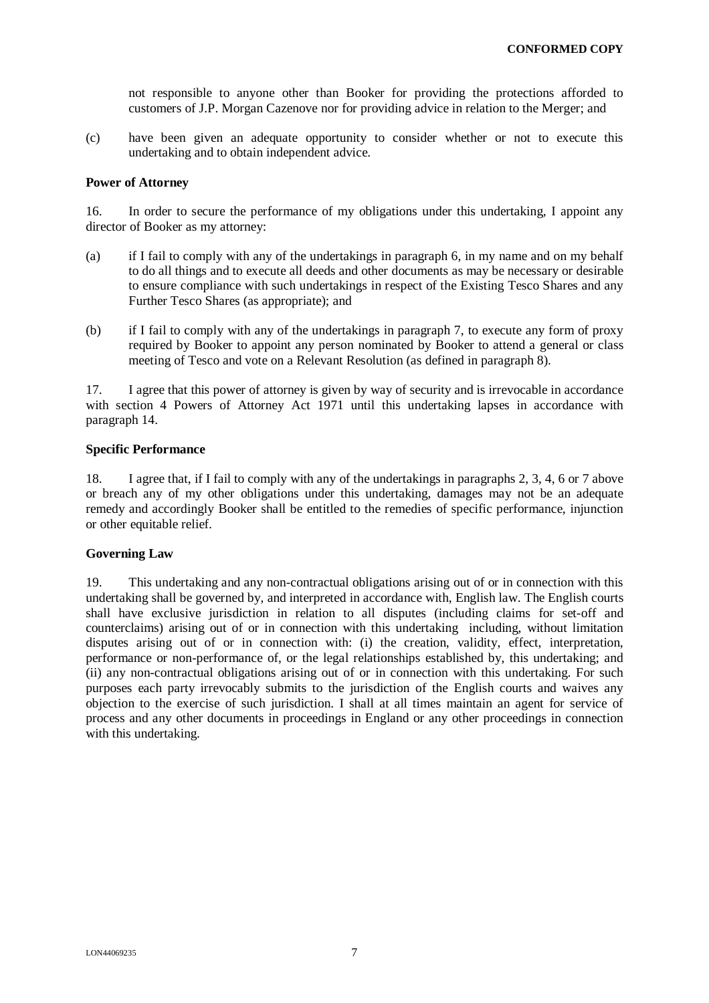not responsible to anyone other than Booker for providing the protections afforded to customers of J.P. Morgan Cazenove nor for providing advice in relation to the Merger; and

(c) have been given an adequate opportunity to consider whether or not to execute this undertaking and to obtain independent advice.

#### **Power of Attorney**

16. In order to secure the performance of my obligations under this undertaking, I appoint any director of Booker as my attorney:

- (a) if I fail to comply with any of the undertakings in paragraph 6, in my name and on my behalf to do all things and to execute all deeds and other documents as may be necessary or desirable to ensure compliance with such undertakings in respect of the Existing Tesco Shares and any Further Tesco Shares (as appropriate); and
- (b) if I fail to comply with any of the undertakings in paragraph 7, to execute any form of proxy required by Booker to appoint any person nominated by Booker to attend a general or class meeting of Tesco and vote on a Relevant Resolution (as defined in paragraph 8).

17. I agree that this power of attorney is given by way of security and is irrevocable in accordance with section 4 Powers of Attorney Act 1971 until this undertaking lapses in accordance with paragraph 14.

#### **Specific Performance**

18. I agree that, if I fail to comply with any of the undertakings in paragraphs 2, 3, 4, 6 or 7 above or breach any of my other obligations under this undertaking, damages may not be an adequate remedy and accordingly Booker shall be entitled to the remedies of specific performance, injunction or other equitable relief.

#### **Governing Law**

19. This undertaking and any non-contractual obligations arising out of or in connection with this undertaking shall be governed by, and interpreted in accordance with, English law. The English courts shall have exclusive jurisdiction in relation to all disputes (including claims for set-off and counterclaims) arising out of or in connection with this undertaking including, without limitation disputes arising out of or in connection with: (i) the creation, validity, effect, interpretation, performance or non-performance of, or the legal relationships established by, this undertaking; and (ii) any non-contractual obligations arising out of or in connection with this undertaking. For such purposes each party irrevocably submits to the jurisdiction of the English courts and waives any objection to the exercise of such jurisdiction. I shall at all times maintain an agent for service of process and any other documents in proceedings in England or any other proceedings in connection with this undertaking.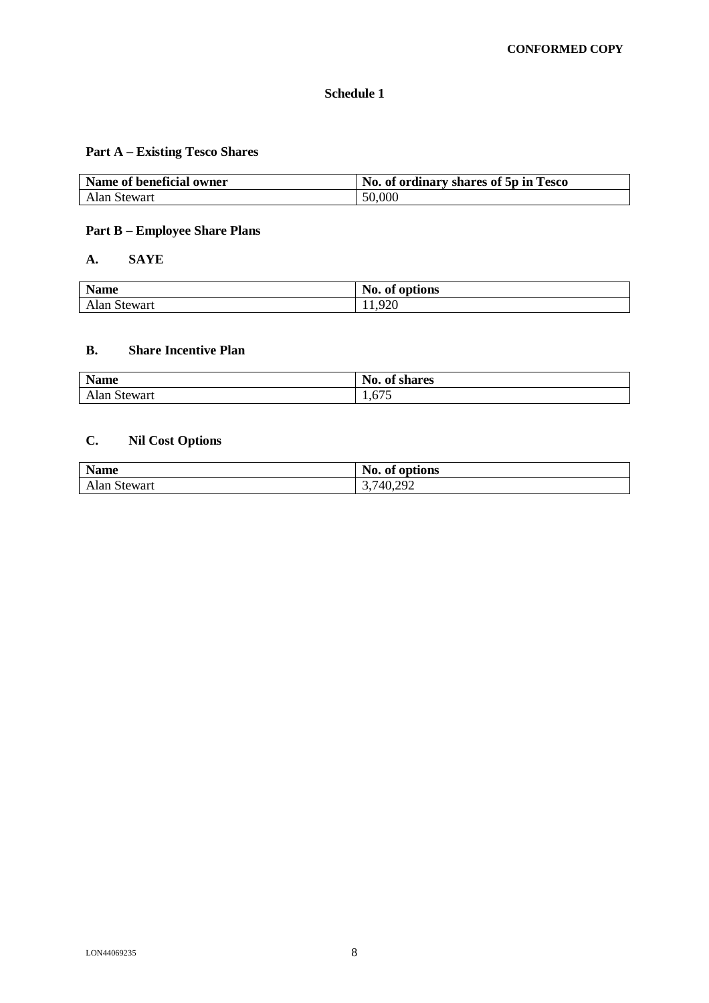## **Schedule 1**

## **Part A – Existing Tesco Shares**

| Name of beneficial owner | No. of ordinary shares of 5p in Tesco |
|--------------------------|---------------------------------------|
| Alan Stewart             | 50,000                                |

## **Part B – Employee Share Plans**

## **A. SAYE**

| <b>Name</b>  | No. of options |
|--------------|----------------|
| Alan Stewart | 1,920          |

### **B. Share Incentive Plan**

| <b>Name</b>  | $\mathbf{N}\mathbf{0}$ .<br>of shares |  |
|--------------|---------------------------------------|--|
| Alan Stewart | $\sim$ $\sim$ $\sim$<br>1,0/2         |  |

## **C. Nil Cost Options**

| <b>Name</b>  | <b>BT</b><br>No. of options |
|--------------|-----------------------------|
| Alan Stewart | 3,740,292                   |